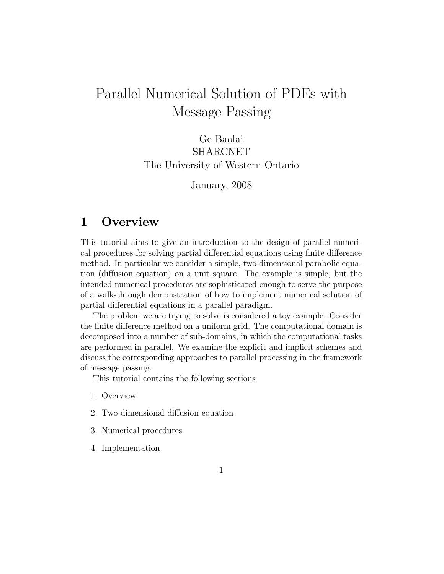# Parallel Numerical Solution of PDEs with Message Passing

Ge Baolai SHARCNET The University of Western Ontario

January, 2008

## 1 Overview

This tutorial aims to give an introduction to the design of parallel numerical procedures for solving partial differential equations using finite difference method. In particular we consider a simple, two dimensional parabolic equation (diffusion equation) on a unit square. The example is simple, but the intended numerical procedures are sophisticated enough to serve the purpose of a walk-through demonstration of how to implement numerical solution of partial differential equations in a parallel paradigm.

The problem we are trying to solve is considered a toy example. Consider the finite difference method on a uniform grid. The computational domain is decomposed into a number of sub-domains, in which the computational tasks are performed in parallel. We examine the explicit and implicit schemes and discuss the corresponding approaches to parallel processing in the framework of message passing.

This tutorial contains the following sections

- 1. Overview
- 2. Two dimensional diffusion equation
- 3. Numerical procedures
- 4. Implementation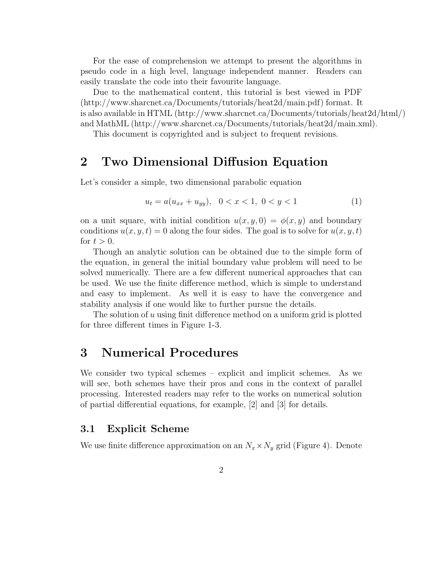For the ease of comprehension we attempt to present the algorithms in pseudo code in a high level, language independent manner. Readers can easily translate the code into their favourite language.

Due to the mathematical content, this tutorial is best viewed in PDF (http://www.sharcnet.ca/Documents/tutorials/heat2d/main.pdf) format. It is also available in HTML (http://www.sharcnet.ca/Documents/tutorials/heat2d/html/) and MathML (http://www.sharcnet.ca/Documents/tutorials/heat2d/main.xml).

This document is copyrighted and is subject to frequent revisions.

## 2 Two Dimensional Diffusion Equation

Let's consider a simple, two dimensional parabolic equation

$$
u_t = a(u_{xx} + u_{yy}), \quad 0 < x < 1, \ 0 < y < 1 \tag{1}
$$

on a unit square, with initial condition  $u(x, y, 0) = \phi(x, y)$  and boundary conditions  $u(x, y, t) = 0$  along the four sides. The goal is to solve for  $u(x, y, t)$ for  $t > 0$ .

Though an analytic solution can be obtained due to the simple form of the equation, in general the initial boundary value problem will need to be solved numerically. There are a few different numerical approaches that can be used. We use the finite difference method, which is simple to understand and easy to implement. As well it is easy to have the convergence and stability analysis if one would like to further pursue the details.

The solution of  $u$  using finit difference method on a uniform grid is plotted for three different times in Figure 1-3.

### 3 Numerical Procedures

We consider two typical schemes – explicit and implicit schemes. As we will see, both schemes have their pros and cons in the context of parallel processing. Interested readers may refer to the works on numerical solution of partial differential equations, for example, [2] and [3] for details.

#### 3.1 Explicit Scheme

We use finite difference approximation on an  $N_x \times N_y$  grid (Figure 4). Denote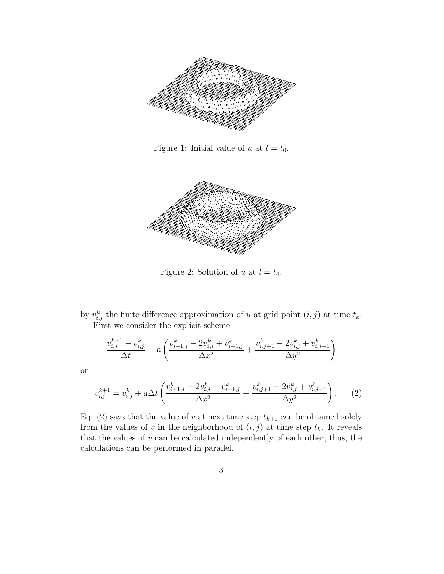

Figure 1: Initial value of u at  $t = t_0$ .



Figure 2: Solution of u at  $t = t_4$ .

by  $v_{i,j}^k$  the finite difference approximation of u at grid point  $(i, j)$  at time  $t_k$ . First we consider the explicit scheme

$$
\frac{v_{i,j}^{k+1} - v_{i,j}^k}{\Delta t} = a \left( \frac{v_{i+1,j}^k - 2v_{i,j}^k + v_{i-1,j}^k}{\Delta x^2} + \frac{v_{i,j+1}^k - 2v_{i,j}^k + v_{i,j-1}^k}{\Delta y^2} \right)
$$

or

$$
v_{i,j}^{k+1} = v_{i,j}^k + a\Delta t \left( \frac{v_{i+1,j}^k - 2v_{i,j}^k + v_{i-1,j}^k}{\Delta x^2} + \frac{v_{i,j+1}^k - 2v_{i,j}^k + v_{i,j-1}^k}{\Delta y^2} \right). \tag{2}
$$

Eq. (2) says that the value of v at next time step  $t_{k+1}$  can be obtained solely from the values of v in the neighborhood of  $(i, j)$  at time step  $t_k$ . It reveals that the values of  $v$  can be calculated independently of each other, thus, the calculations can be performed in parallel.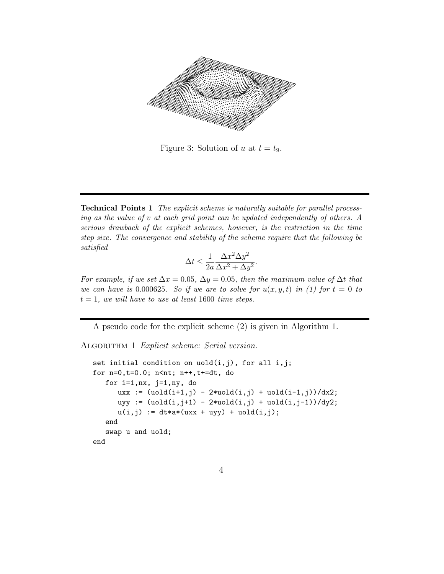

Figure 3: Solution of u at  $t = t_9$ .

Technical Points 1 The explicit scheme is naturally suitable for parallel processing as the value of v at each grid point can be updated independently of others. A serious drawback of the explicit schemes, however, is the restriction in the time step size. The convergence and stability of the scheme require that the following be satisfied

$$
\Delta t \le \frac{1}{2a} \frac{\Delta x^2 \Delta y^2}{\Delta x^2 + \Delta y^2}.
$$

For example, if we set  $\Delta x = 0.05$ ,  $\Delta y = 0.05$ , then the maximum value of  $\Delta t$  that we can have is 0.000625. So if we are to solve for  $u(x,y,t)$  in (1) for  $t=0$  to  $t = 1$ , we will have to use at least 1600 time steps.

A pseudo code for the explicit scheme (2) is given in Algorithm 1.

ALGORITHM 1 Explicit scheme: Serial version.

```
set initial condition on uold(i,j), for all i,j;
for n=0,t=0.0; n<nt; n++,t+=dt, do
  for i=1, nx, j=1, ny, do
      uxx := (uold(i+1,j) - 2*uold(i,j) + uold(i-1,j))/dx2;uyy := (uold(i,j+1) - 2*uold(i,j) +uold(i,j-1))/dy2;
      u(i,j) := dt * a * (uxx + uyy) + uold(i,j);end
  swap u and uold;
end
```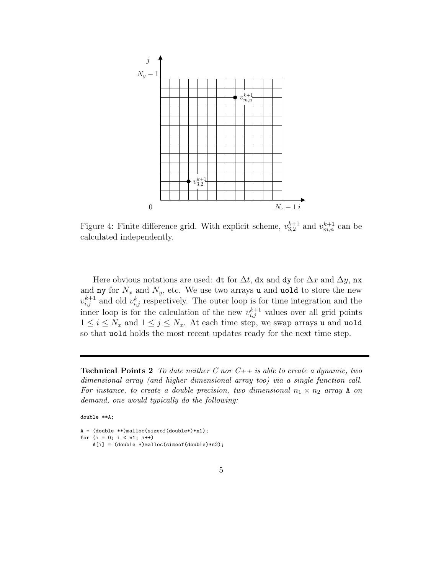

Figure 4: Finite difference grid. With explicit scheme,  $v_{3,2}^{k+1}$  and  $v_{m,n}^{k+1}$  can be calculated independently.

Here obvious notations are used: dt for  $\Delta t$ , dx and dy for  $\Delta x$  and  $\Delta y$ , nx and ny for  $N_x$  and  $N_y$ , etc. We use two arrays u and uold to store the new  $v_{i,j}^{k+1}$  and old  $v_{i,j}^k$  respectively. The outer loop is for time integration and the inner loop is for the calculation of the new  $v_{i,j}^{k+1}$  values over all grid points  $1 \leq i \leq N_x$  and  $1 \leq j \leq N_x$ . At each time step, we swap arrays u and uold so that uold holds the most recent updates ready for the next time step.

**Technical Points 2** To date neither C nor  $C++$  is able to create a dynamic, two dimensional array (and higher dimensional array too) via a single function call. For instance, to create a double precision, two dimensional  $n_1 \times n_2$  array A on demand, one would typically do the following:

double \*\*A;

```
A = (double **)malloc(sizeof(double*)*n1);
for (i = 0; i < n1; i++)
    A[i] = (double *) \text{malloc}(size of(double) * n2);
```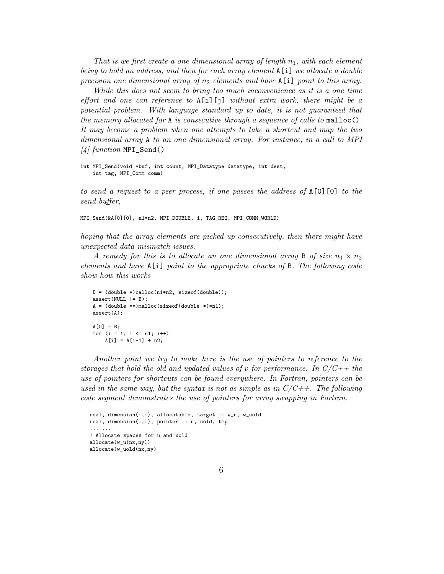That is we first create a one dimensional array of length  $n_1$ , with each element being to hold an address, and then for each array element A[i] we allocate a double precision one dimensional array of  $n_2$  elements and have A[i] point to this array.

While this does not seem to bring too much inconvenience as it is a one time effort and one can reference to  $A[i][j]$  without extra work, there might be a potential problem. With language standard up to date, it is not guaranteed that the memory allocated for  $A$  is consecutive through a sequence of calls to malloc $()$ . It may become a problem when one attempts to take a shortcut and map the two dimensional array A to an one dimensional array. For instance, in a call to MPI  $\frac{1}{4}$  function MPI\_Send()

```
int MPI_Send(void *buf, int count, MPI_Datatype datatype, int dest,
   int tag, MPI_Comm comm)
```
to send a request to a peer process, if one passes the address of  $A[0]$ [0] to the send buffer,

MPI\_Send(&A[0][0], n1\*n2, MPI\_DOUBLE, i, TAG\_REQ, MPI\_COMM\_WORLD)

hoping that the array elements are picked up consecutively, then there might have unexpected data mismatch issues.

A remedy for this is to allocate an one dimensional array B of size  $n_1 \times n_2$ elements and have A[i] point to the appropriate chucks of B. The following code show how this works

```
B = (double *) calloc(n1*n2, sizeof(double));assert(WUL != B);A = (double **) \text{malloc}(size of (double *)*n1);assert(A);
A[0] = B:
for (i = 1; i \le n1; i++)A[i] = A[i-1] + n2;
```
Another point we try to make here is the use of pointers to reference to the storages that hold the old and updated values of v for performance. In  $C/C++$  the use of pointers for shortcuts can be found everywhere. In Fortran, pointers can be used in the same way, but the syntax is not as simple as in  $C/C++$ . The following code segment demonstrates the use of pointers for array swapping in Fortran.

```
real, dimension(:,:), allocatable, target :: w_u, w_uold
real, dimension(:,:), pointer :: u, uold, tmp
... ...
! Allocate spaces for u and uold
allocate(w_u(nx,ny))
allocate(w_uold(nx,ny)
```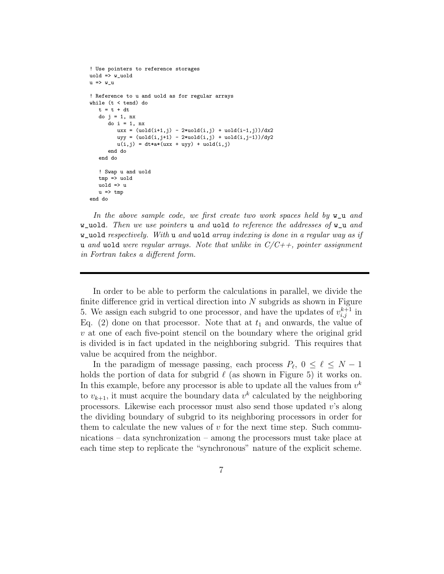```
! Use pointers to reference storages
uold => w_uold
u \Rightarrow w_u! Reference to u and uold as for regular arrays
while (t < tend) do
   t = t + dtdo j = 1, nx
      do i = 1, nx
          uxx = (uold(i+1,j) - 2*uold(i,j) + uold(i-1,j))/dx2
          uyy = (uold(i,j+1) - 2*uold(i,j) + uold(i,j-1))/dy2
          u(i,j) = dt * a * (uxx + uyy) + uold(i,j)end do
   end do
   ! Swap u and uold
   tmp \Rightarrow uold
   uold \Rightarrow u
   u \Rightarrow \text{tmp}end do
```
In the above sample code, we first create two work spaces held by  $w\_u$  and w\_uold. Then we use pointers u and uold to reference the addresses of  $w_$ u and  $w$ -uold respectively. With u and uold array indexing is done in a regular way as if u and uold were regular arrays. Note that unlike in  $C/C++$ , pointer assignment in Fortran takes a different form.

In order to be able to perform the calculations in parallel, we divide the finite difference grid in vertical direction into  $N$  subgrids as shown in Figure 5. We assign each subgrid to one processor, and have the updates of  $v_{i,j}^{k+1}$  in Eq. (2) done on that processor. Note that at  $t_1$  and onwards, the value of  $v$  at one of each five-point stencil on the boundary where the original grid is divided is in fact updated in the neighboring subgrid. This requires that value be acquired from the neighbor.

In the paradigm of message passing, each process  $P_{\ell}$ ,  $0 \leq \ell \leq N-1$ holds the portion of data for subgrid  $\ell$  (as shown in Figure 5) it works on. In this example, before any processor is able to update all the values from  $v^k$ to  $v_{k+1}$ , it must acquire the boundary data  $v^k$  calculated by the neighboring processors. Likewise each processor must also send those updated v's along the dividing boundary of subgrid to its neighboring processors in order for them to calculate the new values of  $v$  for the next time step. Such communications – data synchronization – among the processors must take place at each time step to replicate the "synchronous" nature of the explicit scheme.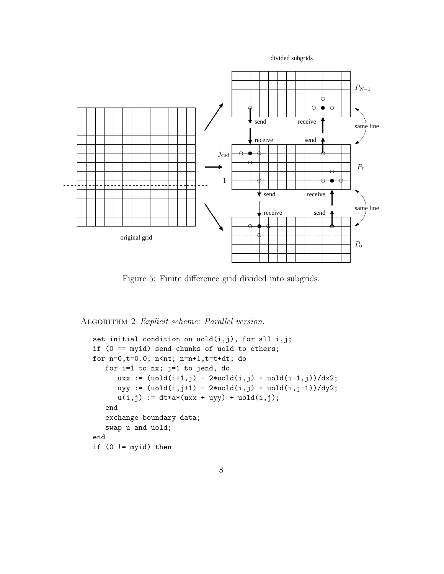divided subgrids



Figure 5: Finite difference grid divided into subgrids.

ALGORITHM 2 Explicit scheme: Parallel version.

```
set initial condition on uold(i,j), for all i,j;
if (0 == myid) send chunks of uold to others;
for n=0,t=0.0; n<nt; n=n+1,t=t+dt; do
   for i=1 to nx; j=1 to jend, do
      uxx := (uold(i+1,j) - 2*uold(i,j) + uold(i-1,j))/dx2;uyy := (uold(i,j+1) - 2*uold(i,j) + uold(i,j-1))/dy2;u(i,j) := dt * a * (uxx + uyy) + uold(i,j);end
   exchange boundary data;
   swap u and uold;
end
if (0 \mid = \text{myid}) then
```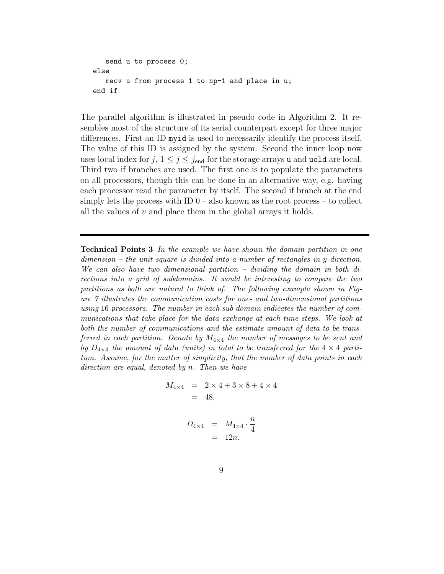```
send u to process 0;
else
   recv u from process 1 to np-1 and place in u;
end if
```
The parallel algorithm is illustrated in pseudo code in Algorithm 2. It resembles most of the structure of its serial counterpart except for three major differences. First an ID myid is used to necessarily identify the process itself. The value of this ID is assigned by the system. Second the inner loop now uses local index for  $j, 1 \leq j \leq j_{end}$  for the storage arrays u and uold are local. Third two if branches are used. The first one is to populate the parameters on all processors, though this can be done in an alternative way, e.g. having each processor read the parameter by itself. The second if branch at the end simply lets the process with ID  $0$  – also known as the root process – to collect all the values of  $v$  and place them in the global arrays it holds.

Technical Points 3 In the example we have shown the domain partition in one  $dimension - the unit square is divided into a number of rectangles in y-direction.$ We can also have two dimensional partition – dividing the domain in both directions into a grid of subdomains. It would be interesting to compare the two partitions as both are natural to think of. The following example shown in Figure 7 illustrates the communication costs for one- and two-dimensional partitions using 16 processors. The number in each sub domain indicates the number of communications that take place for the data exchange at each time steps. We look at both the number of communications and the estimate amount of data to be transferred in each partition. Denote by  $M_{4\times4}$  the number of messages to be sent and by  $D_{4\times4}$  the amount of data (units) in total to be transferred for the  $4\times4$  partition. Assume, for the matter of simplicity, that the number of data points in each direction are equal, denoted by n. Then we have

$$
M_{4 \times 4} = 2 \times 4 + 3 \times 8 + 4 \times 4
$$
  
= 48,

$$
D_{4\times4} = M_{4\times4} \cdot \frac{n}{4}
$$
  
= 12n.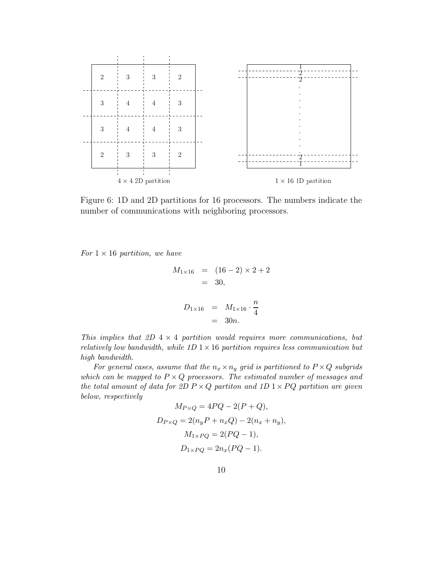

Figure 6: 1D and 2D partitions for 16 processors. The numbers indicate the number of communications with neighboring processors.

For  $1 \times 16$  partition, we have

$$
M_{1 \times 16} = (16 - 2) \times 2 + 2
$$
  
= 30,  

$$
D_{1 \times 16} = M_{1 \times 16} \cdot \frac{n}{4}
$$

This implies that 2D  $4 \times 4$  partition would requires more communications, but relatively low bandwidth, while  $1D \times 16$  partition requires less communication but high bandwidth.

 $=$  30*n*.

For general cases, assume that the  $n_x \times n_y$  grid is partitioned to  $P \times Q$  subgrids which can be mapped to  $P \times Q$  processors. The estimated number of messages and the total amount of data for 2D  $P \times Q$  partition and 1D  $1 \times PQ$  partition are given below, respectively

$$
M_{P \times Q} = 4PQ - 2(P + Q),
$$
  
\n
$$
D_{P \times Q} = 2(n_y P + n_x Q) - 2(n_x + n_y),
$$
  
\n
$$
M_{1 \times PQ} = 2(PQ - 1),
$$
  
\n
$$
D_{1 \times PQ} = 2n_x (PQ - 1).
$$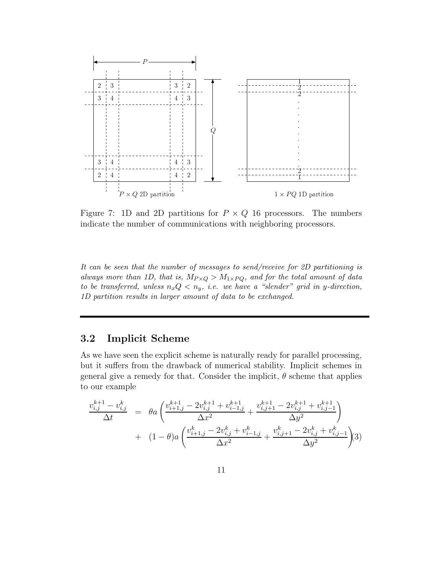

Figure 7: 1D and 2D partitions for  $P \times Q$  16 processors. The numbers indicate the number of communications with neighboring processors.

It can be seen that the number of messages to send/receive for 2D partitioning is always more than 1D, that is,  $M_{P \times Q} > M_{1 \times PQ}$ , and for the total amount of data to be transferred, unless  $n_x Q < n_y$ , i.e. we have a "slender" grid in y-direction, 1D partition results in larger amount of data to be exchanged.

#### 3.2 Implicit Scheme

As we have seen the explicit scheme is naturally ready for parallel processing, but it suffers from the drawback of numerical stability. Implicit schemes in general give a remedy for that. Consider the implicit,  $\theta$  scheme that applies to our example

$$
\frac{v_{i,j}^{k+1} - v_{i,j}^k}{\Delta t} = \theta a \left( \frac{v_{i+1,j}^{k+1} - 2v_{i,j}^{k+1} + v_{i-1,j}^{k+1}}{\Delta x^2} + \frac{v_{i,j+1}^{k+1} - 2v_{i,j}^{k+1} + v_{i,j-1}^{k+1}}{\Delta y^2} \right) + (1 - \theta)a \left( \frac{v_{i+1,j}^k - 2v_{i,j}^k + v_{i-1,j}^k}{\Delta x^2} + \frac{v_{i,j+1}^k - 2v_{i,j}^k + v_{i,j-1}^k}{\Delta y^2} \right)
$$
3)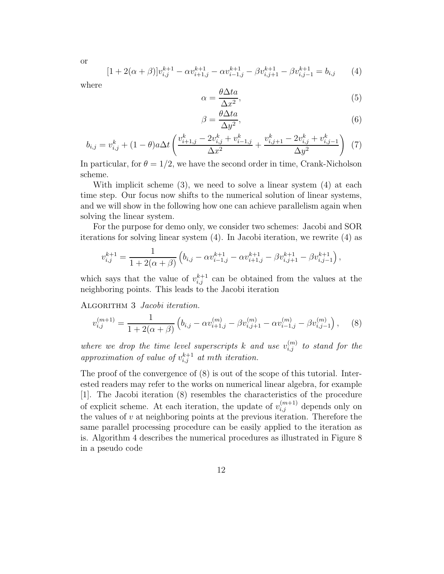$$
[1 + 2(\alpha + \beta)]v_{i,j}^{k+1} - \alpha v_{i+1,j}^{k+1} - \alpha v_{i-1,j}^{k+1} - \beta v_{i,j+1}^{k+1} - \beta v_{i,j-1}^{k+1} = b_{i,j} \qquad (4)
$$

where

or

$$
\alpha = \frac{\theta \Delta t a}{\Delta x^2},\tag{5}
$$

$$
\beta = \frac{\theta \Delta t a}{\Delta y^2},\tag{6}
$$

$$
b_{i,j} = v_{i,j}^k + (1 - \theta)a\Delta t \left( \frac{v_{i+1,j}^k - 2v_{i,j}^k + v_{i-1,j}^k}{\Delta x^2} + \frac{v_{i,j+1}^k - 2v_{i,j}^k + v_{i,j-1}^k}{\Delta y^2} \right)
$$
(7)

In particular, for  $\theta = 1/2$ , we have the second order in time, Crank-Nicholson scheme.

With implicit scheme (3), we need to solve a linear system (4) at each time step. Our focus now shifts to the numerical solution of linear systems, and we will show in the following how one can achieve parallelism again when solving the linear system.

For the purpose for demo only, we consider two schemes: Jacobi and SOR iterations for solving linear system (4). In Jacobi iteration, we rewrite (4) as

$$
v_{i,j}^{k+1} = \frac{1}{1 + 2(\alpha + \beta)} \left( b_{i,j} - \alpha v_{i-1,j}^{k+1} - \alpha v_{i+1,j}^{k+1} - \beta v_{i,j+1}^{k+1} - \beta v_{i,j-1}^{k+1} \right),
$$

which says that the value of  $v_{i,j}^{k+1}$  can be obtained from the values at the neighboring points. This leads to the Jacobi iteration

ALGORITHM 3 Jacobi iteration.

$$
v_{i,j}^{(m+1)} = \frac{1}{1 + 2(\alpha + \beta)} \left( b_{i,j} - \alpha v_{i+1,j}^{(m)} - \beta v_{i,j+1}^{(m)} - \alpha v_{i-1,j}^{(m)} - \beta v_{i,j-1}^{(m)} \right), \quad (8)
$$

where we drop the time level superscripts k and use  $v_{i,j}^{(m)}$  to stand for the approximation of value of  $v_{i,j}^{k+1}$  at mth iteration.

The proof of the convergence of (8) is out of the scope of this tutorial. Interested readers may refer to the works on numerical linear algebra, for example [1]. The Jacobi iteration (8) resembles the characteristics of the procedure of explicit scheme. At each iteration, the update of  $v_{i,j}^{(m+1)}$  depends only on the values of  $v$  at neighboring points at the previous iteration. Therefore the same parallel processing procedure can be easily applied to the iteration as is. Algorithm 4 describes the numerical procedures as illustrated in Figure 8 in a pseudo code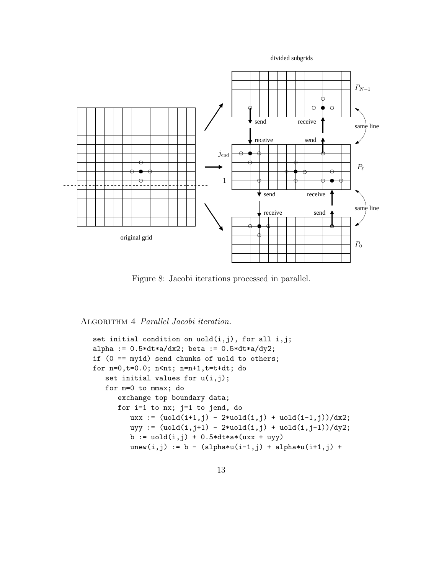divided subgrids



Figure 8: Jacobi iterations processed in parallel.

ALGORITHM 4 Parallel Jacobi iteration.

```
set initial condition on u old(i,j), for all i,j;alpha := 0.5*dt*a/dx2; beta := 0.5*dt*a/dy2;
if (0 == myid) send chunks of uold to others;
for n=0,t=0.0; n<nt; n=n+1,t=t+dt; do
   set initial values for u(i,j);
   for m=0 to mmax; do
      exchange top boundary data;
      for i=1 to nx; j=1 to jend, do
         uxx := (uold(i+1,j) - 2*uold(i,j) + uold(i-1,j))/dx2;uyy := (uold(i,j+1) - 2*uold(i,j) +uold(i,j-1))/dy2;
         b := \text{uold}(i,j) + 0.5 * dt * a * (uxx + uyy)unew(i,j) := b - (alpha * u(i-1,j) + alpha * u(i+1,j) +
```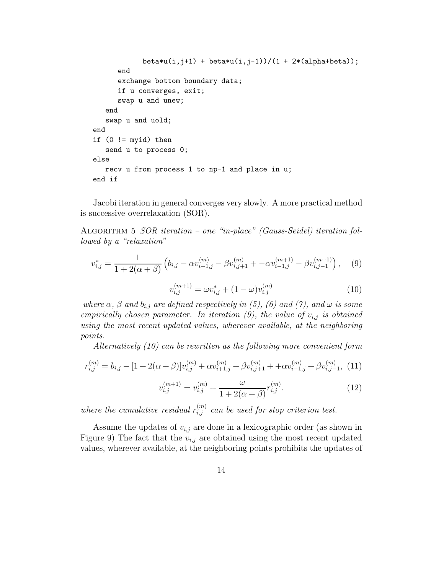```
beta*u(i,j+1) + beta*u(i,j-1))/(1 + 2*(alpha+beta));end
      exchange bottom boundary data;
      if u converges, exit;
      swap u and unew;
   end
   swap u and uold;
end
if (0 \mid = \text{myid}) then
   send u to process 0;
else
   recv u from process 1 to np-1 and place in u;
end if
```
Jacobi iteration in general converges very slowly. A more practical method is successive overrelaxation (SOR).

Algorithm 5 SOR iteration – one "in-place" (Gauss-Seidel) iteration followed by a "relaxation"

$$
v_{i,j}^* = \frac{1}{1 + 2(\alpha + \beta)} \left( b_{i,j} - \alpha v_{i+1,j}^{(m)} - \beta v_{i,j+1}^{(m)} + -\alpha v_{i-1,j}^{(m+1)} - \beta v_{i,j-1}^{(m+1)} \right), \quad (9)
$$

$$
v_{i,j}^{(m+1)} = \omega v_{i,j}^* + (1 - \omega) v_{i,j}^{(m)}
$$
\n(10)

where  $\alpha$ ,  $\beta$  and  $b_{i,j}$  are defined respectively in (5), (6) and (7), and  $\omega$  is some empirically chosen parameter. In iteration (9), the value of  $v_{i,j}$  is obtained using the most recent updated values, wherever available, at the neighboring points.

Alternatively (10) can be rewritten as the following more convenient form

$$
r_{i,j}^{(m)} = b_{i,j} - [1 + 2(\alpha + \beta)]v_{i,j}^{(m)} + \alpha v_{i+1,j}^{(m)} + \beta v_{i,j+1}^{(m)} + \alpha v_{i-1,j}^{(m)} + \beta v_{i,j-1}^{(m)}, (11)
$$

$$
v_{i,j}^{(m+1)} = v_{i,j}^{(m)} + \frac{\omega}{1 + 2(\alpha + \beta)} r_{i,j}^{(m)}.
$$
\n(12)

where the cumulative residual  $r_{i,j}^{(m)}$  can be used for stop criterion test.

Assume the updates of  $v_{i,j}$  are done in a lexicographic order (as shown in Figure 9) The fact that the  $v_{i,j}$  are obtained using the most recent updated values, wherever available, at the neighboring points prohibits the updates of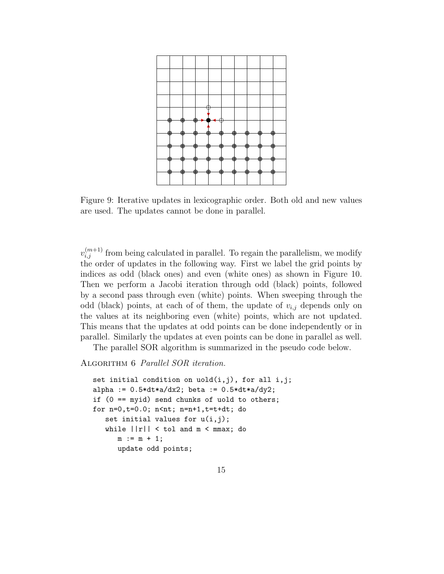

Figure 9: Iterative updates in lexicographic order. Both old and new values are used. The updates cannot be done in parallel.

 $v_{i,j}^{(m+1)}$  from being calculated in parallel. To regain the parallelism, we modify the order of updates in the following way. First we label the grid points by indices as odd (black ones) and even (white ones) as shown in Figure 10. Then we perform a Jacobi iteration through odd (black) points, followed by a second pass through even (white) points. When sweeping through the odd (black) points, at each of of them, the update of  $v_{i,j}$  depends only on the values at its neighboring even (white) points, which are not updated. This means that the updates at odd points can be done independently or in parallel. Similarly the updates at even points can be done in parallel as well.

The parallel SOR algorithm is summarized in the pseudo code below.

#### ALGORITHM 6 Parallel SOR iteration.

```
set initial condition on uold(i,j), for all i,j;
alpha := 0.5 * dt * a/dx2; beta := 0.5 * dt * a/dy2;
if (0 == myid) send chunks of uold to others;
for n=0,t=0.0; n<nt; n=n+1,t=t+dt; do
   set initial values for u(i,j);
   while ||r|| < tol and m < mmax; do
      m := m + 1;update odd points;
```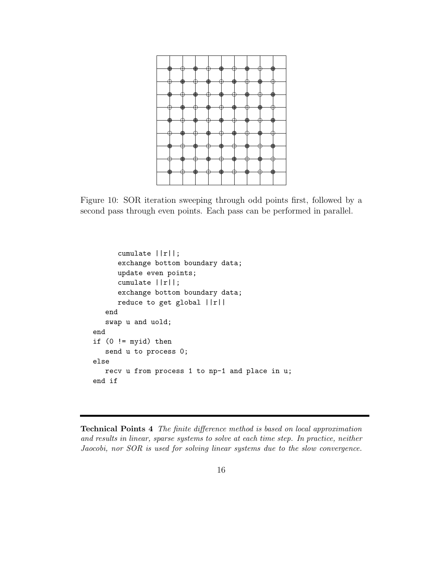

Figure 10: SOR iteration sweeping through odd points first, followed by a second pass through even points. Each pass can be performed in parallel.

```
cumulate ||r||;
      exchange bottom boundary data;
      update even points;
      cumulate ||r||;
      exchange bottom boundary data;
      reduce to get global ||r||
   end
   swap u and uold;
end
if (0 \mid = \text{myid}) then
   send u to process 0;
else
   recv u from process 1 to np-1 and place in u;
end if
```
Technical Points 4 The finite difference method is based on local approximation and results in linear, sparse systems to solve at each time step. In practice, neither Jaocobi, nor SOR is used for solving linear systems due to the slow convergence.